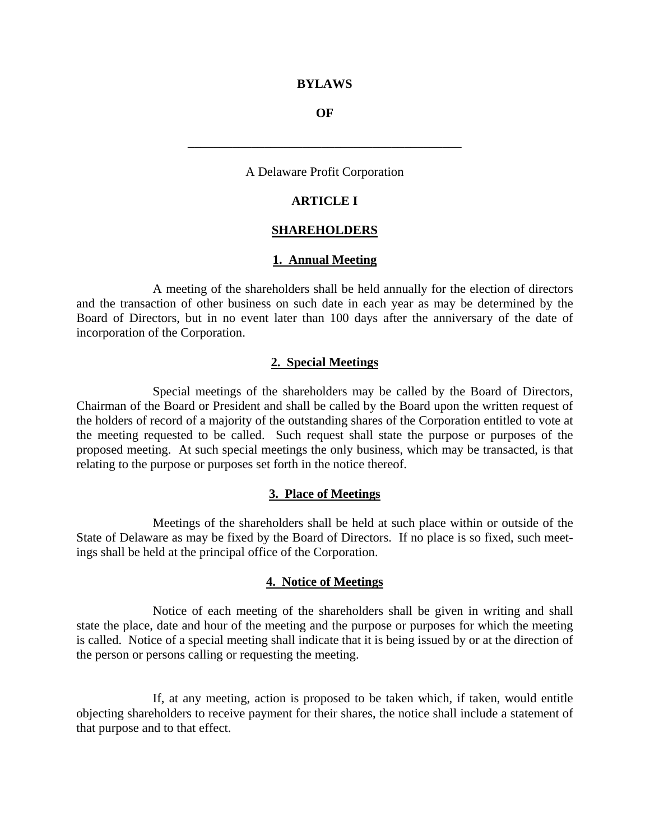#### **BYLAWS**

#### **OF**

\_\_\_\_\_\_\_\_\_\_\_\_\_\_\_\_\_\_\_\_\_\_\_\_\_\_\_\_\_\_\_\_\_\_\_\_\_\_\_\_\_\_\_

### A Delaware Profit Corporation

### **ARTICLE I**

#### **SHAREHOLDERS**

#### **1. Annual Meeting**

 A meeting of the shareholders shall be held annually for the election of directors and the transaction of other business on such date in each year as may be determined by the Board of Directors, but in no event later than 100 days after the anniversary of the date of incorporation of the Corporation.

### **2. Special Meetings**

 Special meetings of the shareholders may be called by the Board of Directors, Chairman of the Board or President and shall be called by the Board upon the written request of the holders of record of a majority of the outstanding shares of the Corporation entitled to vote at the meeting requested to be called. Such request shall state the purpose or purposes of the proposed meeting. At such special meetings the only business, which may be transacted, is that relating to the purpose or purposes set forth in the notice thereof.

#### **3. Place of Meetings**

 Meetings of the shareholders shall be held at such place within or outside of the State of Delaware as may be fixed by the Board of Directors. If no place is so fixed, such meetings shall be held at the principal office of the Corporation.

#### **4. Notice of Meetings**

 Notice of each meeting of the shareholders shall be given in writing and shall state the place, date and hour of the meeting and the purpose or purposes for which the meeting is called. Notice of a special meeting shall indicate that it is being issued by or at the direction of the person or persons calling or requesting the meeting.

 If, at any meeting, action is proposed to be taken which, if taken, would entitle objecting shareholders to receive payment for their shares, the notice shall include a statement of that purpose and to that effect.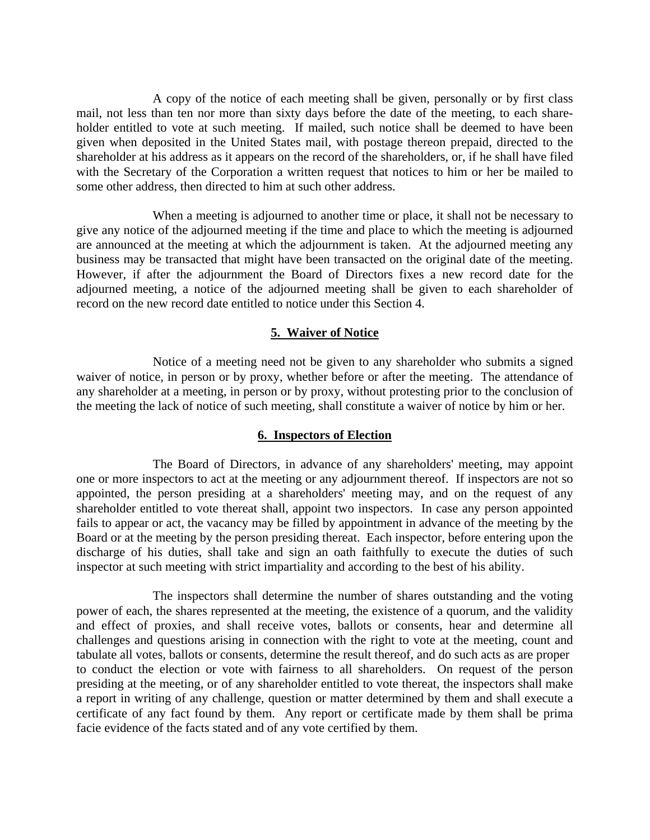A copy of the notice of each meeting shall be given, personally or by first class mail, not less than ten nor more than sixty days before the date of the meeting, to each shareholder entitled to vote at such meeting. If mailed, such notice shall be deemed to have been given when deposited in the United States mail, with postage thereon prepaid, directed to the shareholder at his address as it appears on the record of the shareholders, or, if he shall have filed with the Secretary of the Corporation a written request that notices to him or her be mailed to some other address, then directed to him at such other address.

 When a meeting is adjourned to another time or place, it shall not be necessary to give any notice of the adjourned meeting if the time and place to which the meeting is adjourned are announced at the meeting at which the adjournment is taken. At the adjourned meeting any business may be transacted that might have been transacted on the original date of the meeting. However, if after the adjournment the Board of Directors fixes a new record date for the adjourned meeting, a notice of the adjourned meeting shall be given to each shareholder of record on the new record date entitled to notice under this Section 4.

### **5. Waiver of Notice**

 Notice of a meeting need not be given to any shareholder who submits a signed waiver of notice, in person or by proxy, whether before or after the meeting. The attendance of any shareholder at a meeting, in person or by proxy, without protesting prior to the conclusion of the meeting the lack of notice of such meeting, shall constitute a waiver of notice by him or her.

### **6. Inspectors of Election**

 The Board of Directors, in advance of any shareholders' meeting, may appoint one or more inspectors to act at the meeting or any adjournment thereof. If inspectors are not so appointed, the person presiding at a shareholders' meeting may, and on the request of any shareholder entitled to vote thereat shall, appoint two inspectors. In case any person appointed fails to appear or act, the vacancy may be filled by appointment in advance of the meeting by the Board or at the meeting by the person presiding thereat. Each inspector, before entering upon the discharge of his duties, shall take and sign an oath faithfully to execute the duties of such inspector at such meeting with strict impartiality and according to the best of his ability.

 The inspectors shall determine the number of shares outstanding and the voting power of each, the shares represented at the meeting, the existence of a quorum, and the validity and effect of proxies, and shall receive votes, ballots or consents, hear and determine all challenges and questions arising in connection with the right to vote at the meeting, count and tabulate all votes, ballots or consents, determine the result thereof, and do such acts as are proper to conduct the election or vote with fairness to all shareholders. On request of the person presiding at the meeting, or of any shareholder entitled to vote thereat, the inspectors shall make a report in writing of any challenge, question or matter determined by them and shall execute a certificate of any fact found by them. Any report or certificate made by them shall be prima facie evidence of the facts stated and of any vote certified by them.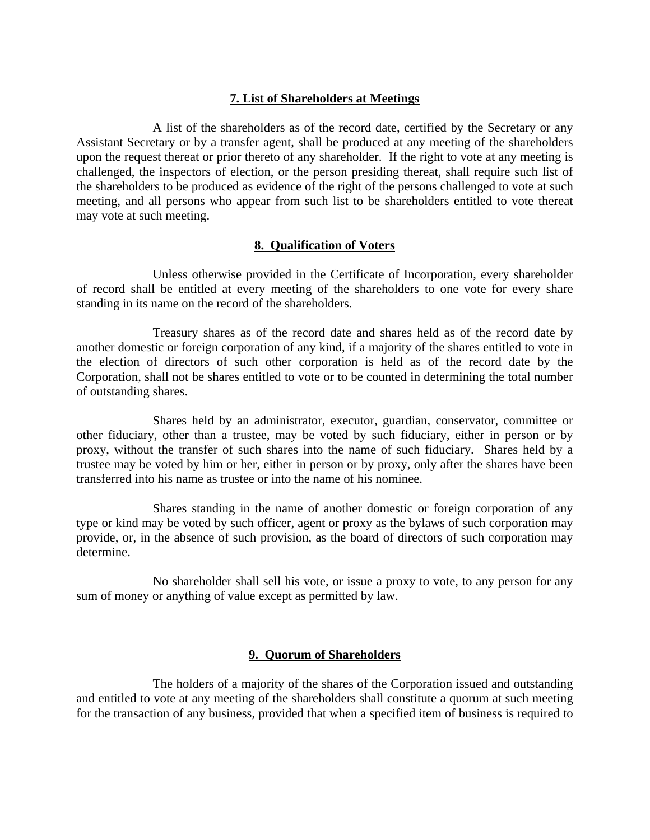### **7. List of Shareholders at Meetings**

 A list of the shareholders as of the record date, certified by the Secretary or any Assistant Secretary or by a transfer agent, shall be produced at any meeting of the shareholders upon the request thereat or prior thereto of any shareholder. If the right to vote at any meeting is challenged, the inspectors of election, or the person presiding thereat, shall require such list of the shareholders to be produced as evidence of the right of the persons challenged to vote at such meeting, and all persons who appear from such list to be shareholders entitled to vote thereat may vote at such meeting.

### **8. Qualification of Voters**

 Unless otherwise provided in the Certificate of Incorporation, every shareholder of record shall be entitled at every meeting of the shareholders to one vote for every share standing in its name on the record of the shareholders.

 Treasury shares as of the record date and shares held as of the record date by another domestic or foreign corporation of any kind, if a majority of the shares entitled to vote in the election of directors of such other corporation is held as of the record date by the Corporation, shall not be shares entitled to vote or to be counted in determining the total number of outstanding shares.

 Shares held by an administrator, executor, guardian, conservator, committee or other fiduciary, other than a trustee, may be voted by such fiduciary, either in person or by proxy, without the transfer of such shares into the name of such fiduciary. Shares held by a trustee may be voted by him or her, either in person or by proxy, only after the shares have been transferred into his name as trustee or into the name of his nominee.

 Shares standing in the name of another domestic or foreign corporation of any type or kind may be voted by such officer, agent or proxy as the bylaws of such corporation may provide, or, in the absence of such provision, as the board of directors of such corporation may determine.

 No shareholder shall sell his vote, or issue a proxy to vote, to any person for any sum of money or anything of value except as permitted by law.

### **9. Quorum of Shareholders**

 The holders of a majority of the shares of the Corporation issued and outstanding and entitled to vote at any meeting of the shareholders shall constitute a quorum at such meeting for the transaction of any business, provided that when a specified item of business is required to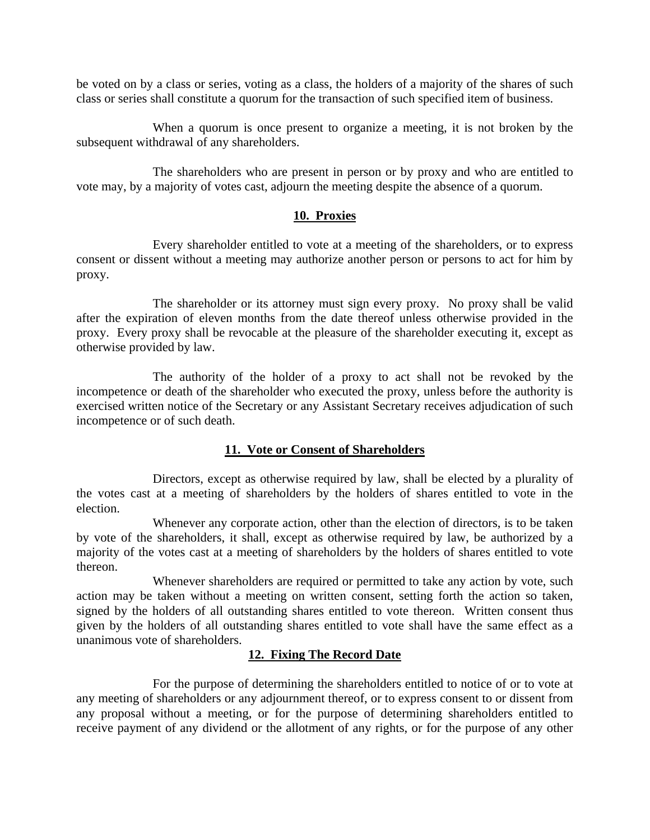be voted on by a class or series, voting as a class, the holders of a majority of the shares of such class or series shall constitute a quorum for the transaction of such specified item of business.

 When a quorum is once present to organize a meeting, it is not broken by the subsequent withdrawal of any shareholders.

 The shareholders who are present in person or by proxy and who are entitled to vote may, by a majority of votes cast, adjourn the meeting despite the absence of a quorum.

## **10. Proxies**

 Every shareholder entitled to vote at a meeting of the shareholders, or to express consent or dissent without a meeting may authorize another person or persons to act for him by proxy.

 The shareholder or its attorney must sign every proxy. No proxy shall be valid after the expiration of eleven months from the date thereof unless otherwise provided in the proxy. Every proxy shall be revocable at the pleasure of the shareholder executing it, except as otherwise provided by law.

 The authority of the holder of a proxy to act shall not be revoked by the incompetence or death of the shareholder who executed the proxy, unless before the authority is exercised written notice of the Secretary or any Assistant Secretary receives adjudication of such incompetence or of such death.

# **11. Vote or Consent of Shareholders**

 Directors, except as otherwise required by law, shall be elected by a plurality of the votes cast at a meeting of shareholders by the holders of shares entitled to vote in the election.

 Whenever any corporate action, other than the election of directors, is to be taken by vote of the shareholders, it shall, except as otherwise required by law, be authorized by a majority of the votes cast at a meeting of shareholders by the holders of shares entitled to vote thereon.

 Whenever shareholders are required or permitted to take any action by vote, such action may be taken without a meeting on written consent, setting forth the action so taken, signed by the holders of all outstanding shares entitled to vote thereon. Written consent thus given by the holders of all outstanding shares entitled to vote shall have the same effect as a unanimous vote of shareholders.

# **12. Fixing The Record Date**

 For the purpose of determining the shareholders entitled to notice of or to vote at any meeting of shareholders or any adjournment thereof, or to express consent to or dissent from any proposal without a meeting, or for the purpose of determining shareholders entitled to receive payment of any dividend or the allotment of any rights, or for the purpose of any other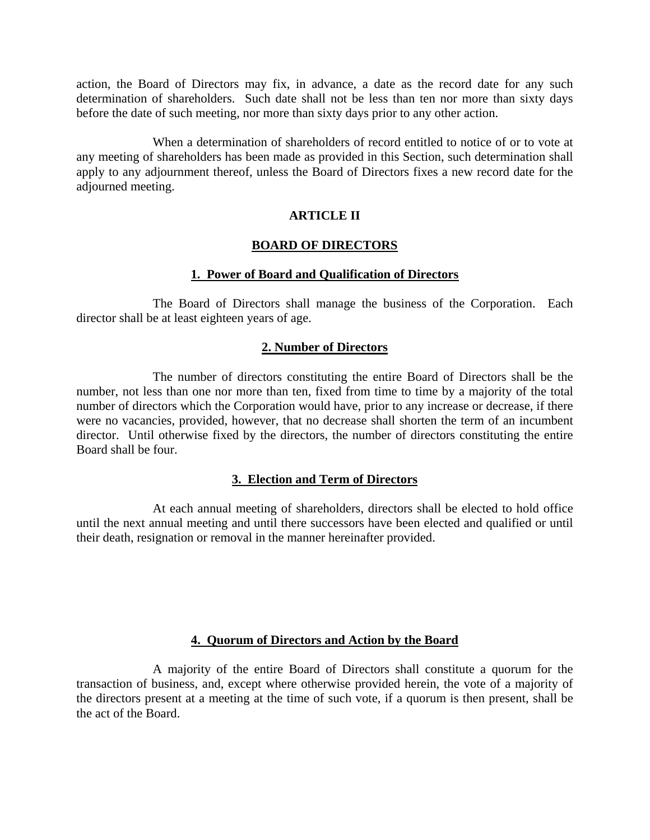action, the Board of Directors may fix, in advance, a date as the record date for any such determination of shareholders. Such date shall not be less than ten nor more than sixty days before the date of such meeting, nor more than sixty days prior to any other action.

 When a determination of shareholders of record entitled to notice of or to vote at any meeting of shareholders has been made as provided in this Section, such determination shall apply to any adjournment thereof, unless the Board of Directors fixes a new record date for the adjourned meeting.

## **ARTICLE II**

### **BOARD OF DIRECTORS**

### **1. Power of Board and Qualification of Directors**

 The Board of Directors shall manage the business of the Corporation. Each director shall be at least eighteen years of age.

### **2. Number of Directors**

 The number of directors constituting the entire Board of Directors shall be the number, not less than one nor more than ten, fixed from time to time by a majority of the total number of directors which the Corporation would have, prior to any increase or decrease, if there were no vacancies, provided, however, that no decrease shall shorten the term of an incumbent director. Until otherwise fixed by the directors, the number of directors constituting the entire Board shall be four.

## **3. Election and Term of Directors**

 At each annual meeting of shareholders, directors shall be elected to hold office until the next annual meeting and until there successors have been elected and qualified or until their death, resignation or removal in the manner hereinafter provided.

### **4. Quorum of Directors and Action by the Board**

 A majority of the entire Board of Directors shall constitute a quorum for the transaction of business, and, except where otherwise provided herein, the vote of a majority of the directors present at a meeting at the time of such vote, if a quorum is then present, shall be the act of the Board.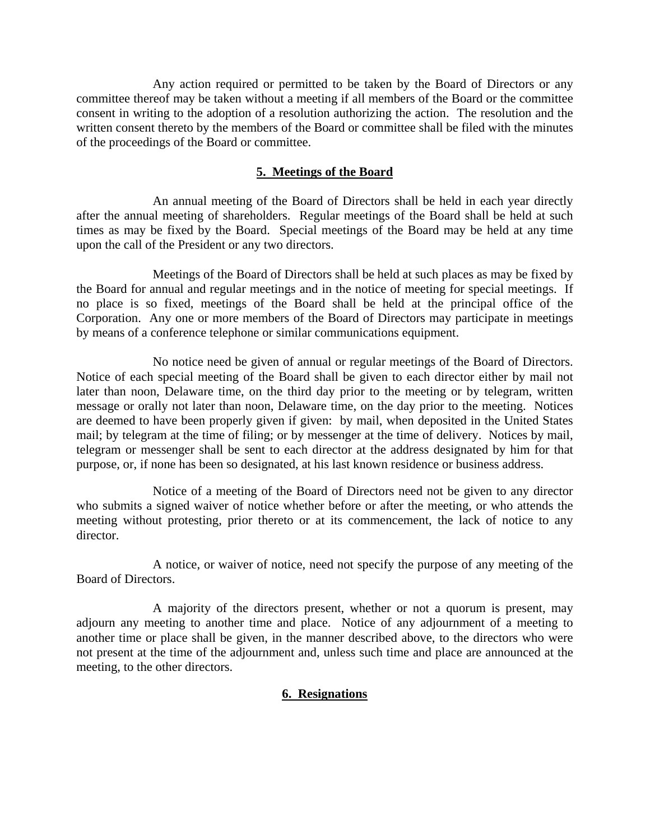Any action required or permitted to be taken by the Board of Directors or any committee thereof may be taken without a meeting if all members of the Board or the committee consent in writing to the adoption of a resolution authorizing the action. The resolution and the written consent thereto by the members of the Board or committee shall be filed with the minutes of the proceedings of the Board or committee.

# **5. Meetings of the Board**

 An annual meeting of the Board of Directors shall be held in each year directly after the annual meeting of shareholders. Regular meetings of the Board shall be held at such times as may be fixed by the Board. Special meetings of the Board may be held at any time upon the call of the President or any two directors.

 Meetings of the Board of Directors shall be held at such places as may be fixed by the Board for annual and regular meetings and in the notice of meeting for special meetings. If no place is so fixed, meetings of the Board shall be held at the principal office of the Corporation. Any one or more members of the Board of Directors may participate in meetings by means of a conference telephone or similar communications equipment.

 No notice need be given of annual or regular meetings of the Board of Directors. Notice of each special meeting of the Board shall be given to each director either by mail not later than noon, Delaware time, on the third day prior to the meeting or by telegram, written message or orally not later than noon, Delaware time, on the day prior to the meeting. Notices are deemed to have been properly given if given: by mail, when deposited in the United States mail; by telegram at the time of filing; or by messenger at the time of delivery. Notices by mail, telegram or messenger shall be sent to each director at the address designated by him for that purpose, or, if none has been so designated, at his last known residence or business address.

 Notice of a meeting of the Board of Directors need not be given to any director who submits a signed waiver of notice whether before or after the meeting, or who attends the meeting without protesting, prior thereto or at its commencement, the lack of notice to any director.

 A notice, or waiver of notice, need not specify the purpose of any meeting of the Board of Directors.

 A majority of the directors present, whether or not a quorum is present, may adjourn any meeting to another time and place. Notice of any adjournment of a meeting to another time or place shall be given, in the manner described above, to the directors who were not present at the time of the adjournment and, unless such time and place are announced at the meeting, to the other directors.

## **6. Resignations**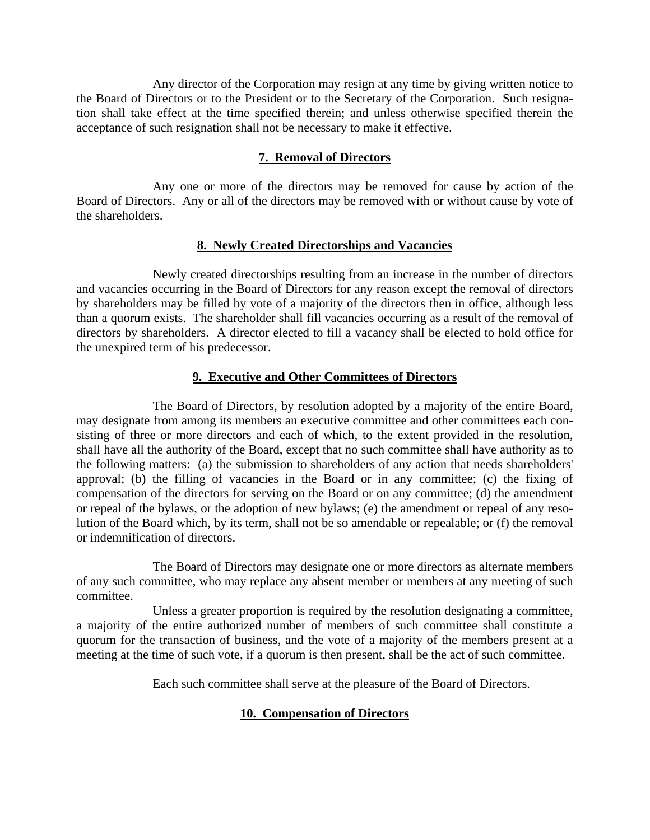Any director of the Corporation may resign at any time by giving written notice to the Board of Directors or to the President or to the Secretary of the Corporation. Such resignation shall take effect at the time specified therein; and unless otherwise specified therein the acceptance of such resignation shall not be necessary to make it effective.

# **7. Removal of Directors**

 Any one or more of the directors may be removed for cause by action of the Board of Directors. Any or all of the directors may be removed with or without cause by vote of the shareholders.

## **8. Newly Created Directorships and Vacancies**

 Newly created directorships resulting from an increase in the number of directors and vacancies occurring in the Board of Directors for any reason except the removal of directors by shareholders may be filled by vote of a majority of the directors then in office, although less than a quorum exists. The shareholder shall fill vacancies occurring as a result of the removal of directors by shareholders. A director elected to fill a vacancy shall be elected to hold office for the unexpired term of his predecessor.

# **9. Executive and Other Committees of Directors**

 The Board of Directors, by resolution adopted by a majority of the entire Board, may designate from among its members an executive committee and other committees each consisting of three or more directors and each of which, to the extent provided in the resolution, shall have all the authority of the Board, except that no such committee shall have authority as to the following matters: (a) the submission to shareholders of any action that needs shareholders' approval; (b) the filling of vacancies in the Board or in any committee; (c) the fixing of compensation of the directors for serving on the Board or on any committee; (d) the amendment or repeal of the bylaws, or the adoption of new bylaws; (e) the amendment or repeal of any resolution of the Board which, by its term, shall not be so amendable or repealable; or (f) the removal or indemnification of directors.

 The Board of Directors may designate one or more directors as alternate members of any such committee, who may replace any absent member or members at any meeting of such committee.

 Unless a greater proportion is required by the resolution designating a committee, a majority of the entire authorized number of members of such committee shall constitute a quorum for the transaction of business, and the vote of a majority of the members present at a meeting at the time of such vote, if a quorum is then present, shall be the act of such committee.

Each such committee shall serve at the pleasure of the Board of Directors.

# **10. Compensation of Directors**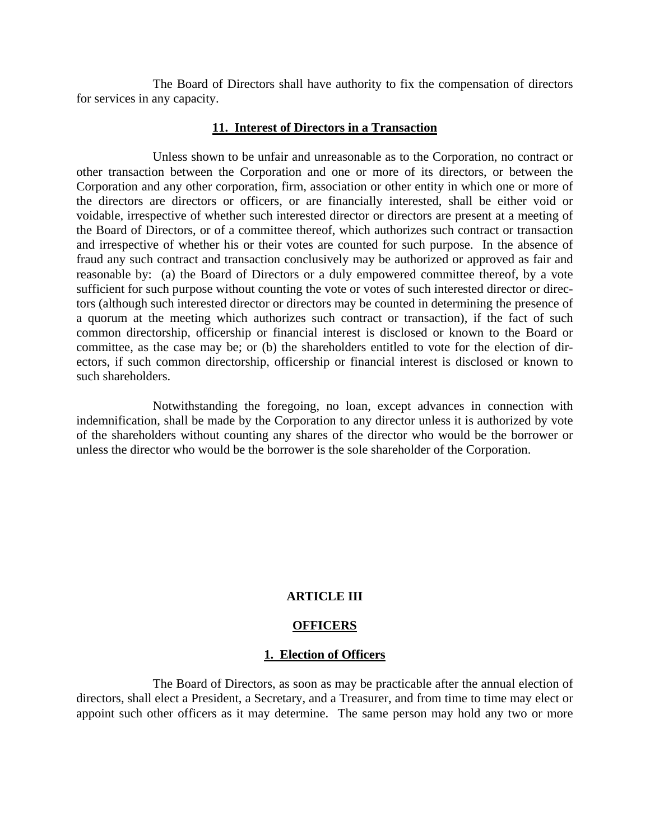The Board of Directors shall have authority to fix the compensation of directors for services in any capacity.

### **11. Interest of Directors in a Transaction**

 Unless shown to be unfair and unreasonable as to the Corporation, no contract or other transaction between the Corporation and one or more of its directors, or between the Corporation and any other corporation, firm, association or other entity in which one or more of the directors are directors or officers, or are financially interested, shall be either void or voidable, irrespective of whether such interested director or directors are present at a meeting of the Board of Directors, or of a committee thereof, which authorizes such contract or transaction and irrespective of whether his or their votes are counted for such purpose. In the absence of fraud any such contract and transaction conclusively may be authorized or approved as fair and reasonable by: (a) the Board of Directors or a duly empowered committee thereof, by a vote sufficient for such purpose without counting the vote or votes of such interested director or directors (although such interested director or directors may be counted in determining the presence of a quorum at the meeting which authorizes such contract or transaction), if the fact of such common directorship, officership or financial interest is disclosed or known to the Board or committee, as the case may be; or (b) the shareholders entitled to vote for the election of directors, if such common directorship, officership or financial interest is disclosed or known to such shareholders.

 Notwithstanding the foregoing, no loan, except advances in connection with indemnification, shall be made by the Corporation to any director unless it is authorized by vote of the shareholders without counting any shares of the director who would be the borrower or unless the director who would be the borrower is the sole shareholder of the Corporation.

#### **ARTICLE III**

#### **OFFICERS**

#### **1. Election of Officers**

 The Board of Directors, as soon as may be practicable after the annual election of directors, shall elect a President, a Secretary, and a Treasurer, and from time to time may elect or appoint such other officers as it may determine. The same person may hold any two or more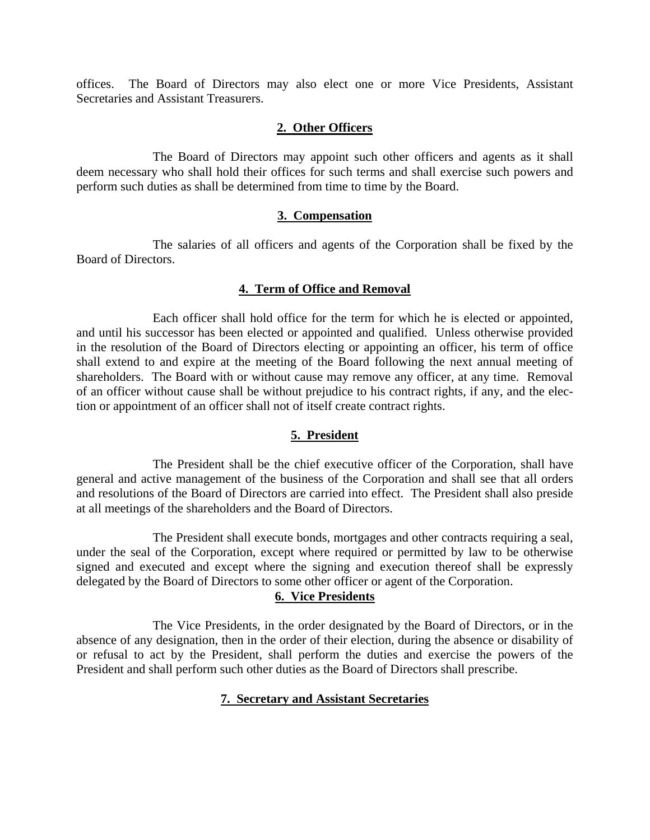offices. The Board of Directors may also elect one or more Vice Presidents, Assistant Secretaries and Assistant Treasurers.

### **2. Other Officers**

 The Board of Directors may appoint such other officers and agents as it shall deem necessary who shall hold their offices for such terms and shall exercise such powers and perform such duties as shall be determined from time to time by the Board.

### **3. Compensation**

 The salaries of all officers and agents of the Corporation shall be fixed by the Board of Directors.

## **4. Term of Office and Removal**

 Each officer shall hold office for the term for which he is elected or appointed, and until his successor has been elected or appointed and qualified. Unless otherwise provided in the resolution of the Board of Directors electing or appointing an officer, his term of office shall extend to and expire at the meeting of the Board following the next annual meeting of shareholders. The Board with or without cause may remove any officer, at any time. Removal of an officer without cause shall be without prejudice to his contract rights, if any, and the election or appointment of an officer shall not of itself create contract rights.

## **5. President**

 The President shall be the chief executive officer of the Corporation, shall have general and active management of the business of the Corporation and shall see that all orders and resolutions of the Board of Directors are carried into effect. The President shall also preside at all meetings of the shareholders and the Board of Directors.

 The President shall execute bonds, mortgages and other contracts requiring a seal, under the seal of the Corporation, except where required or permitted by law to be otherwise signed and executed and except where the signing and execution thereof shall be expressly delegated by the Board of Directors to some other officer or agent of the Corporation.

## **6. Vice Presidents**

 The Vice Presidents, in the order designated by the Board of Directors, or in the absence of any designation, then in the order of their election, during the absence or disability of or refusal to act by the President, shall perform the duties and exercise the powers of the President and shall perform such other duties as the Board of Directors shall prescribe.

## **7. Secretary and Assistant Secretaries**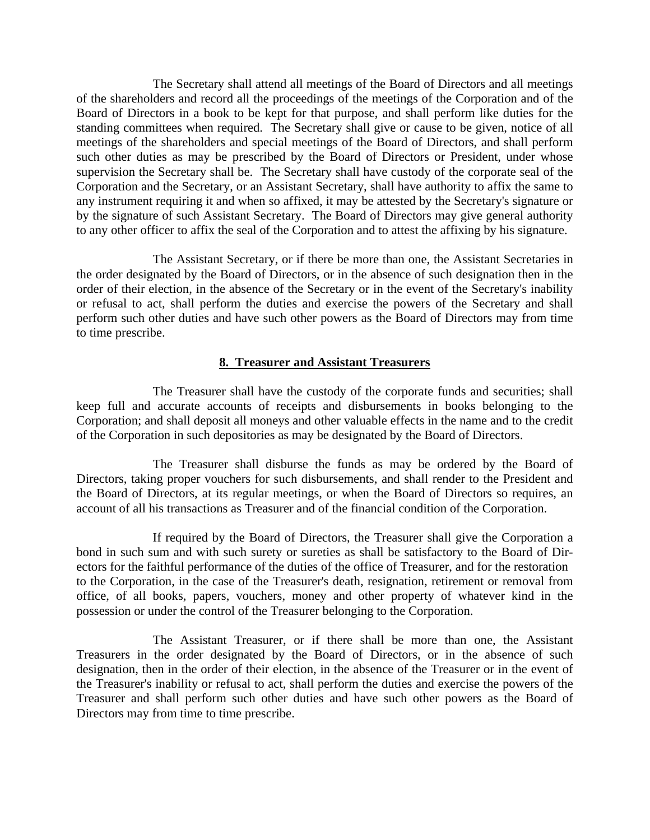The Secretary shall attend all meetings of the Board of Directors and all meetings of the shareholders and record all the proceedings of the meetings of the Corporation and of the Board of Directors in a book to be kept for that purpose, and shall perform like duties for the standing committees when required. The Secretary shall give or cause to be given, notice of all meetings of the shareholders and special meetings of the Board of Directors, and shall perform such other duties as may be prescribed by the Board of Directors or President, under whose supervision the Secretary shall be. The Secretary shall have custody of the corporate seal of the Corporation and the Secretary, or an Assistant Secretary, shall have authority to affix the same to any instrument requiring it and when so affixed, it may be attested by the Secretary's signature or by the signature of such Assistant Secretary. The Board of Directors may give general authority to any other officer to affix the seal of the Corporation and to attest the affixing by his signature.

 The Assistant Secretary, or if there be more than one, the Assistant Secretaries in the order designated by the Board of Directors, or in the absence of such designation then in the order of their election, in the absence of the Secretary or in the event of the Secretary's inability or refusal to act, shall perform the duties and exercise the powers of the Secretary and shall perform such other duties and have such other powers as the Board of Directors may from time to time prescribe.

### **8. Treasurer and Assistant Treasurers**

 The Treasurer shall have the custody of the corporate funds and securities; shall keep full and accurate accounts of receipts and disbursements in books belonging to the Corporation; and shall deposit all moneys and other valuable effects in the name and to the credit of the Corporation in such depositories as may be designated by the Board of Directors.

 The Treasurer shall disburse the funds as may be ordered by the Board of Directors, taking proper vouchers for such disbursements, and shall render to the President and the Board of Directors, at its regular meetings, or when the Board of Directors so requires, an account of all his transactions as Treasurer and of the financial condition of the Corporation.

 If required by the Board of Directors, the Treasurer shall give the Corporation a bond in such sum and with such surety or sureties as shall be satisfactory to the Board of Directors for the faithful performance of the duties of the office of Treasurer, and for the restoration to the Corporation, in the case of the Treasurer's death, resignation, retirement or removal from office, of all books, papers, vouchers, money and other property of whatever kind in the possession or under the control of the Treasurer belonging to the Corporation.

 The Assistant Treasurer, or if there shall be more than one, the Assistant Treasurers in the order designated by the Board of Directors, or in the absence of such designation, then in the order of their election, in the absence of the Treasurer or in the event of the Treasurer's inability or refusal to act, shall perform the duties and exercise the powers of the Treasurer and shall perform such other duties and have such other powers as the Board of Directors may from time to time prescribe.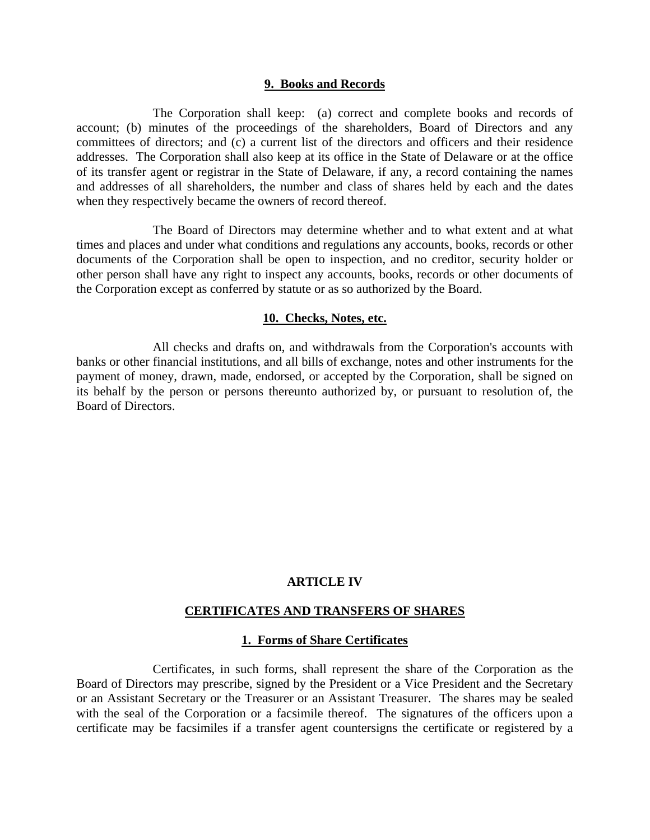#### **9. Books and Records**

 The Corporation shall keep: (a) correct and complete books and records of account; (b) minutes of the proceedings of the shareholders, Board of Directors and any committees of directors; and (c) a current list of the directors and officers and their residence addresses. The Corporation shall also keep at its office in the State of Delaware or at the office of its transfer agent or registrar in the State of Delaware, if any, a record containing the names and addresses of all shareholders, the number and class of shares held by each and the dates when they respectively became the owners of record thereof.

 The Board of Directors may determine whether and to what extent and at what times and places and under what conditions and regulations any accounts, books, records or other documents of the Corporation shall be open to inspection, and no creditor, security holder or other person shall have any right to inspect any accounts, books, records or other documents of the Corporation except as conferred by statute or as so authorized by the Board.

#### **10. Checks, Notes, etc.**

 All checks and drafts on, and withdrawals from the Corporation's accounts with banks or other financial institutions, and all bills of exchange, notes and other instruments for the payment of money, drawn, made, endorsed, or accepted by the Corporation, shall be signed on its behalf by the person or persons thereunto authorized by, or pursuant to resolution of, the Board of Directors.

## **ARTICLE IV**

#### **CERTIFICATES AND TRANSFERS OF SHARES**

#### **1. Forms of Share Certificates**

 Certificates, in such forms, shall represent the share of the Corporation as the Board of Directors may prescribe, signed by the President or a Vice President and the Secretary or an Assistant Secretary or the Treasurer or an Assistant Treasurer. The shares may be sealed with the seal of the Corporation or a facsimile thereof. The signatures of the officers upon a certificate may be facsimiles if a transfer agent countersigns the certificate or registered by a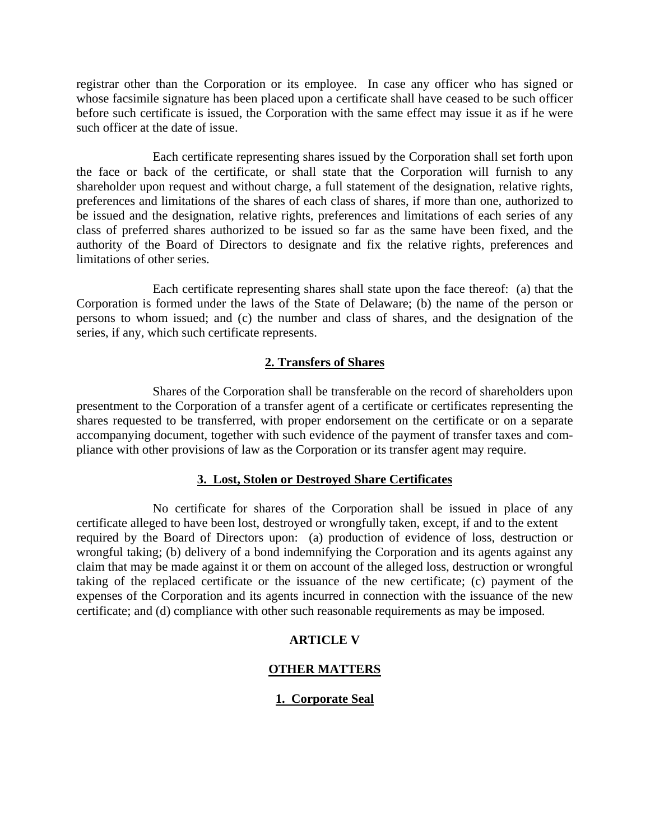registrar other than the Corporation or its employee. In case any officer who has signed or whose facsimile signature has been placed upon a certificate shall have ceased to be such officer before such certificate is issued, the Corporation with the same effect may issue it as if he were such officer at the date of issue.

 Each certificate representing shares issued by the Corporation shall set forth upon the face or back of the certificate, or shall state that the Corporation will furnish to any shareholder upon request and without charge, a full statement of the designation, relative rights, preferences and limitations of the shares of each class of shares, if more than one, authorized to be issued and the designation, relative rights, preferences and limitations of each series of any class of preferred shares authorized to be issued so far as the same have been fixed, and the authority of the Board of Directors to designate and fix the relative rights, preferences and limitations of other series.

 Each certificate representing shares shall state upon the face thereof: (a) that the Corporation is formed under the laws of the State of Delaware; (b) the name of the person or persons to whom issued; and (c) the number and class of shares, and the designation of the series, if any, which such certificate represents.

# **2. Transfers of Shares**

 Shares of the Corporation shall be transferable on the record of shareholders upon presentment to the Corporation of a transfer agent of a certificate or certificates representing the shares requested to be transferred, with proper endorsement on the certificate or on a separate accompanying document, together with such evidence of the payment of transfer taxes and compliance with other provisions of law as the Corporation or its transfer agent may require.

### **3. Lost, Stolen or Destroyed Share Certificates**

 No certificate for shares of the Corporation shall be issued in place of any certificate alleged to have been lost, destroyed or wrongfully taken, except, if and to the extent required by the Board of Directors upon: (a) production of evidence of loss, destruction or wrongful taking; (b) delivery of a bond indemnifying the Corporation and its agents against any claim that may be made against it or them on account of the alleged loss, destruction or wrongful taking of the replaced certificate or the issuance of the new certificate; (c) payment of the expenses of the Corporation and its agents incurred in connection with the issuance of the new certificate; and (d) compliance with other such reasonable requirements as may be imposed.

## **ARTICLE V**

## **OTHER MATTERS**

## **1. Corporate Seal**